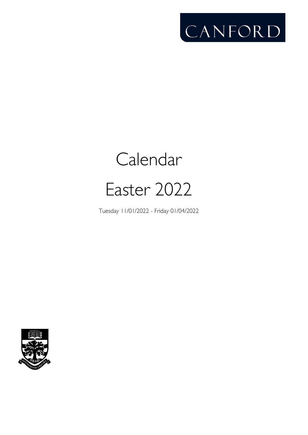

# Calendar Easter 2022

Tuesday 11/01/2022 - Friday 01/04/2022

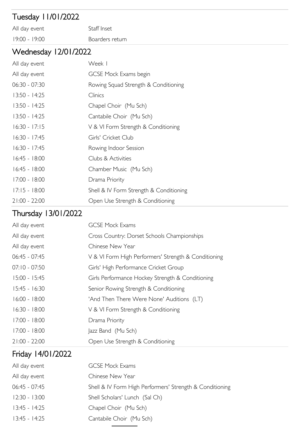## Tuesday 11/01/2022

All day event Staff Inset 19:00 - 19:00 Boarders return

#### Wednesday 12/01/2022

| All day event   | Week I                                  |
|-----------------|-----------------------------------------|
| All day event   | <b>GCSE Mock Exams begin</b>            |
| $06:30 - 07:30$ | Rowing Squad Strength & Conditioning    |
| $13:50 - 14:25$ | Clinics                                 |
| $13:50 - 14:25$ | Chapel Choir (Mu Sch)                   |
| $13:50 - 14:25$ | Cantabile Choir (Mu Sch)                |
| $16:30 - 17:15$ | V & VI Form Strength & Conditioning     |
| $16:30 - 17:45$ | Girls' Cricket Club                     |
| $16:30 - 17:45$ | Rowing Indoor Session                   |
| $16:45 - 18:00$ | Clubs & Activities                      |
| $16:45 - 18:00$ | Chamber Music (Mu Sch)                  |
| $17:00 - 18:00$ | Drama Priority                          |
| $17:15 - 18:00$ | Shell & IV Form Strength & Conditioning |
| $21:00 - 22:00$ | Open Use Strength & Conditioning        |

#### Thursday 13/01/2022

| All day event   | <b>GCSE Mock Exams</b>                               |
|-----------------|------------------------------------------------------|
| All day event   | Cross Country: Dorset Schools Championships          |
| All day event   | Chinese New Year                                     |
| $06:45 - 07:45$ | V & VI Form High Performers' Strength & Conditioning |
| $07:10 - 07:50$ | Girls' High Performance Cricket Group                |
| $15:00 - 15:45$ | Girls Performance Hockey Strength & Conditioning     |
| $15:45 - 16:30$ | Senior Rowing Strength & Conditioning                |
| $16:00 - 18:00$ | 'And Then There Were None' Auditions (LT)            |
| $16:30 - 18:00$ | V & VI Form Strength & Conditioning                  |
| $17:00 - 18:00$ | Drama Priority                                       |
| $17:00 - 18:00$ | Jazz Band (Mu Sch)                                   |
| $21:00 - 22:00$ | Open Use Strength & Conditioning                     |

## Friday 14/01/2022

| <b>GCSE Mock Exams</b>                                   |
|----------------------------------------------------------|
| Chinese New Year                                         |
| Shell & IV Form High Performers' Strength & Conditioning |
| Shell Scholars' Lunch (Sal Ch)                           |
| Chapel Choir (Mu Sch)                                    |
| Cantabile Choir (Mu Sch)                                 |
|                                                          |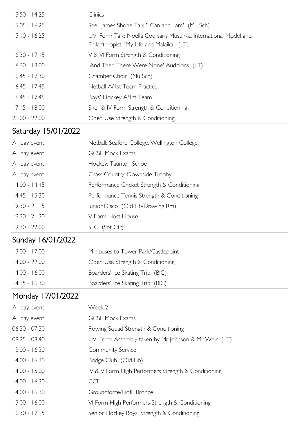| $13:50 - 14:25$ | Clinics                                                                                                        |
|-----------------|----------------------------------------------------------------------------------------------------------------|
| $15:05 - 16:25$ | Shell James Shone Talk 'I Can and I am' (Mu Sch)                                                               |
| $15:10 - 16:25$ | UVI Form Talk: Noella Coursaris Musunka, International Model and<br>Philanthropist: 'My Life and Malaika' (LT) |
| $16:30 - 17:15$ | V & VI Form Strength & Conditioning                                                                            |
| $16:30 - 18:00$ | 'And Then There Were None' Auditions (LT)                                                                      |
| $16:45 - 17:30$ | Chamber Choir (Mu Sch)                                                                                         |
| $16:45 - 17:45$ | Netball A/Ist Team Practice                                                                                    |
| $16:45 - 17:45$ | Boys' Hockey A/Ist Team                                                                                        |
| $17:15 - 18:00$ | Shell & IV Form Strength & Conditioning                                                                        |
| $21:00 - 22:00$ | Open Use Strength & Conditioning                                                                               |

## Saturday 15/01/2022

| All day event   | Netball: Seaford College, Wellington College |
|-----------------|----------------------------------------------|
| All day event   | <b>GCSE Mock Exams</b>                       |
| All day event   | Hockey: Taunton School                       |
| All day event   | Cross Country: Downside Trophy               |
| $14:00 - 14:45$ | Performance Cricket Strength & Conditioning  |
| $14:45 - 15:30$ | Performance Tennis Strength & Conditioning   |
| $19:30 - 21:15$ | Junior Disco (Old Lib/Drawing Rm)            |
| $19:30 - 21:30$ | V Form Host House                            |
| $19:30 - 22:00$ | SFC (Spt Ctr)                                |
|                 |                                              |

# Sunday 16/01/2022

| $13:00 - 17:00$ | Minibuses to Tower Park/Castlepoint |
|-----------------|-------------------------------------|
| $14:00 - 22:00$ | Open Use Strength & Conditioning    |
| $14:00 - 16:00$ | Boarders' Ice Skating Trip (BIC)    |
| $14:15 - 16:30$ | Boarders' Ice Skating Trip (BIC)    |

# Monday 17/01/2022

| All day event   | Week 2                                               |
|-----------------|------------------------------------------------------|
| All day event   | <b>GCSE Mock Exams</b>                               |
| $06:30 - 07:30$ | Rowing Squad Strength & Conditioning                 |
| 08:25 - 08:40   | UVI Form Assembly taken by Mr Johnson & Mr Weir (LT) |
| $13:00 - 16:30$ | Community Service                                    |
| $14:00 - 16:30$ | Bridge Club (Old Lib)                                |
| $14:00 - 15:00$ | IV & V Form High Performers Strength & Conditioning  |
| $14:00 - 16:30$ | <b>CCF</b>                                           |
| $14:00 - 16:30$ | Groundforce/DofE Bronze                              |
| $15:00 - 16:00$ | VI Form High Performers Strength & Conditioning      |
| $16:30 - 17:15$ | Senior Hockey Boys' Strength & Conditioning          |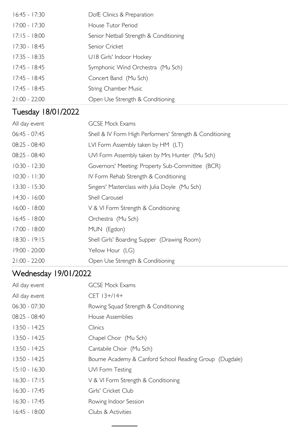| $16:45 - 17:30$    | DofE Clinics & Preparation                               |
|--------------------|----------------------------------------------------------|
| $17:00 - 17:30$    | House Tutor Period                                       |
| $17:15 - 18:00$    | Senior Netball Strength & Conditioning                   |
| $17:30 - 18:45$    | Senior Cricket                                           |
| $17:35 - 18:35$    | U18 Girls' Indoor Hockey                                 |
| $17:45 - 18:45$    | Symphonic Wind Orchestra (Mu Sch)                        |
| $17:45 - 18:45$    | Concert Band (Mu Sch)                                    |
| $17:45 - 18:45$    | <b>String Chamber Music</b>                              |
| $21:00 - 22:00$    | Open Use Strength & Conditioning                         |
| Tuesday 18/01/2022 |                                                          |
| All day event      | <b>GCSE Mock Exams</b>                                   |
| 06:45 - 07:45      | Shell & IV Form High Performers' Strength & Conditioning |
| 08:25 - 08:40      | LVI Form Assembly taken by HM (LT)                       |
| 08:25 - 08:40      | UVI Form Assembly taken by Mrs Hunter (Mu Sch)           |
| $10:30 - 12:30$    | Governors' Meeting: Property Sub-Committee (BCR)         |
| $10:30 - 11:30$    | IV Form Rehab Strength & Conditioning                    |
| $13:30 - 15:30$    | Singers' Masterclass with Julia Doyle (Mu Sch)           |
| $14:30 - 16:00$    | Shell Carousel                                           |
| $16:00 - 18:00$    | V & VI Form Strength & Conditioning                      |
| $16:45 - 18:00$    | Orchestra (Mu Sch)                                       |
| $17:00 - 18:00$    | MUN (Egdon)                                              |
| 18:30 - 19:15      | Shell Girls' Boarding Supper (Drawing Room)              |
| 19:00 - 20:00      | Yellow Hour (LG)                                         |

# Wednesday 19/01/2022

21:00 - 22:00 Open Use Strength & Conditioning

| <b>GCSE Mock Exams</b>                                  |
|---------------------------------------------------------|
| $CET$ $ 3+/14+$                                         |
| Rowing Squad Strength & Conditioning                    |
| House Assemblies                                        |
| Clinics                                                 |
| Chapel Choir (Mu Sch)                                   |
| Cantabile Choir (Mu Sch)                                |
| Bourne Academy & Canford School Reading Group (Dugdale) |
| UVI Form Testing                                        |
| V & VI Form Strength & Conditioning                     |
| Girls' Cricket Club                                     |
| Rowing Indoor Session                                   |
| Clubs & Activities                                      |
|                                                         |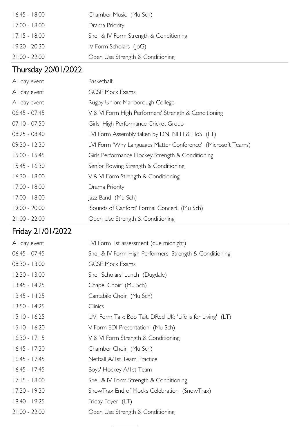| $16:45 - 18:00$ | Chamber Music (Mu Sch)                  |
|-----------------|-----------------------------------------|
| 17:00 - 18:00   | Drama Priority                          |
| $17:15 - 18:00$ | Shell & IV Form Strength & Conditioning |
| 19:20 - 20:30   | IV Form Scholars $(I \circ G)$          |
| $21:00 - 22:00$ | Open Use Strength & Conditioning        |

# Thursday 20/01/2022

| All day event   | Basketball:                                                  |
|-----------------|--------------------------------------------------------------|
| All day event   | <b>GCSE Mock Exams</b>                                       |
| All day event   | Rugby Union: Marlborough College                             |
| $06:45 - 07:45$ | V & VI Form High Performers' Strength & Conditioning         |
| $07:10 - 07:50$ | Girls' High Performance Cricket Group                        |
| $08:25 - 08:40$ | LVI Form Assembly taken by DN, NLH & HoS (LT)                |
| $09:30 - 12:30$ | LVI Form 'Why Languages Matter Conference' (Microsoft Teams) |
| $15:00 - 15:45$ | Girls Performance Hockey Strength & Conditioning             |
| $15:45 - 16:30$ | Senior Rowing Strength & Conditioning                        |
| $16:30 - 18:00$ | V & VI Form Strength & Conditioning                          |
| $17:00 - 18:00$ | Drama Priority                                               |
| $17:00 - 18:00$ | Jazz Band (Mu Sch)                                           |
| $19:00 - 20:00$ | 'Sounds of Canford' Formal Concert (Mu Sch)                  |
| $21:00 - 22:00$ | Open Use Strength & Conditioning                             |

# Friday 21/01/2022

| LVI Form 1st assessment (due midnight)                      |
|-------------------------------------------------------------|
| Shell & IV Form High Performers' Strength & Conditioning    |
| <b>GCSE Mock Exams</b>                                      |
| Shell Scholars' Lunch (Dugdale)                             |
| Chapel Choir (Mu Sch)                                       |
| Cantabile Choir (Mu Sch)                                    |
| Clinics                                                     |
| UVI Form Talk: Bob Tait, DRed UK: 'Life is for Living' (LT) |
| V Form EDI Presentation (Mu Sch)                            |
| V & VI Form Strength & Conditioning                         |
| Chamber Choir (Mu Sch)                                      |
| Netball A/1st Team Practice                                 |
| Boys' Hockey A/Ist Team                                     |
| Shell & IV Form Strength & Conditioning                     |
| SnowTrax End of Mocks Celebration (SnowTrax)                |
| Friday Foyer (LT)                                           |
| Open Use Strength & Conditioning                            |
|                                                             |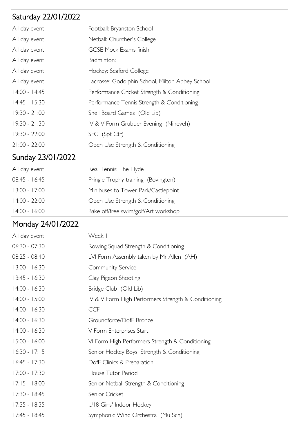# Saturday 22/01/2022

| All day event   | Football: Bryanston School                      |
|-----------------|-------------------------------------------------|
| All day event   | Netball: Churcher's College                     |
| All day event   | <b>GCSE Mock Exams finish</b>                   |
| All day event   | Badminton:                                      |
| All day event   | Hockey: Seaford College                         |
| All day event   | Lacrosse: Godolphin School, Milton Abbey School |
| $14:00 - 14:45$ | Performance Cricket Strength & Conditioning     |
| $14:45 - 15:30$ | Performance Tennis Strength & Conditioning      |
| $19:30 - 21:00$ | Shell Board Games (Old Lib)                     |
| $19:30 - 21:30$ | IV & V Form Grubber Evening (Nineveh)           |
| 19:30 - 22:00   | SFC (Spt Ctr)                                   |
| $21:00 - 22:00$ | Open Use Strength & Conditioning                |

# Sunday 23/01/2022

| All day event   | Real Tennis: The Hyde                |
|-----------------|--------------------------------------|
| $08:45 - 16:45$ | Pringle Trophy training (Bovington)  |
| $13:00 - 17:00$ | Minibuses to Tower Park/Castlepoint  |
| $14:00 - 22:00$ | Open Use Strength & Conditioning     |
| $14:00 - 16:00$ | Bake off/free swim/golf/Art workshop |
|                 |                                      |

## Monday 24/01/2022

| All day event   | Week I                                              |
|-----------------|-----------------------------------------------------|
| $06:30 - 07:30$ | Rowing Squad Strength & Conditioning                |
| $08:25 - 08:40$ | LVI Form Assembly taken by Mr Allen (AH)            |
| $13:00 - 16:30$ | Community Service                                   |
| $13:45 - 16:30$ | Clay Pigeon Shooting                                |
| $14:00 - 16:30$ | Bridge Club (Old Lib)                               |
| $14:00 - 15:00$ | IV & V Form High Performers Strength & Conditioning |
| $14:00 - 16:30$ | <b>CCF</b>                                          |
| $14:00 - 16:30$ | Groundforce/DofE Bronze                             |
| $14:00 - 16:30$ | V Form Enterprises Start                            |
| $15:00 - 16:00$ | VI Form High Performers Strength & Conditioning     |
| $16:30 - 17:15$ | Senior Hockey Boys' Strength & Conditioning         |
| $16:45 - 17:30$ | DofE Clinics & Preparation                          |
| $17:00 - 17:30$ | House Tutor Period                                  |
| $17:15 - 18:00$ | Senior Netball Strength & Conditioning              |
| 17:30 - 18:45   | Senior Cricket                                      |
| $17:35 - 18:35$ | U18 Girls' Indoor Hockey                            |
| $17:45 - 18:45$ | Symphonic Wind Orchestra (Mu Sch)                   |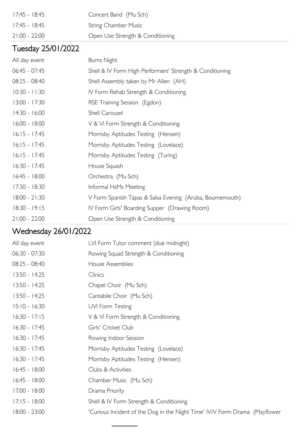| 17:45 - 18:45   | Concert Band (Mu Sch)            |
|-----------------|----------------------------------|
| 17:45 - 18:45   | <b>String Chamber Music</b>      |
| $21:00 - 22:00$ | Open Use Strength & Conditioning |

## Tuesday 25/01/2022

| All day event   | <b>Burns Night</b>                                        |
|-----------------|-----------------------------------------------------------|
| 06:45 - 07:45   | Shell & IV Form High Performers' Strength & Conditioning  |
| 08:25 - 08:40   | Shell Assembly taken by Mr Allen (AH)                     |
| $10:30 - 11:30$ | IV Form Rehab Strength & Conditioning                     |
| $13:00 - 17:30$ | RSE Training Session (Egdon)                              |
| $14:30 - 16:00$ | Shell Carousel                                            |
| $16:00 - 18:00$ | V & VI Form Strength & Conditioning                       |
| $16:15 - 17:45$ | Morrisby Aptitudes Testing (Hensen)                       |
| $16:15 - 17:45$ | Morrisby Aptitudes Testing (Lovelace)                     |
| $16:15 - 17:45$ | Morrisby Aptitudes Testing (Turing)                       |
| $16:30 - 17:45$ | House Squash                                              |
| $16:45 - 18:00$ | Orchestra (Mu Sch)                                        |
| 17:30 - 18:30   | Informal HsMs Meeting                                     |
| $18:00 - 21:30$ | V Form Spanish Tapas & Salsa Evening (Aruba, Bournemouth) |
| $18:30 - 19:15$ | IV Form Girls' Boarding Supper (Drawing Room)             |
| $21:00 - 22:00$ | Open Use Strength & Conditioning                          |
|                 |                                                           |

# Wednesday 26/01/2022

| All day event   | LVI Form Tutor comment (due midnight)                                      |
|-----------------|----------------------------------------------------------------------------|
| $06:30 - 07:30$ | Rowing Squad Strength & Conditioning                                       |
| 08:25 - 08:40   | House Assemblies                                                           |
| $13:50 - 14:25$ | Clinics                                                                    |
| $13:50 - 14:25$ | Chapel Choir (Mu Sch)                                                      |
| $13:50 - 14:25$ | Cantabile Choir (Mu Sch)                                                   |
| $15:10 - 16:30$ | UVI Form Testing                                                           |
| $16:30 - 17:15$ | V & VI Form Strength & Conditioning                                        |
| 16:30 - 17:45   | Girls' Cricket Club                                                        |
| 16:30 - 17:45   | Rowing Indoor Session                                                      |
| 16:30 - 17:45   | Morrisby Aptitudes Testing (Lovelace)                                      |
| $16:30 - 17:45$ | Morrisby Aptitudes Testing (Hensen)                                        |
| $16:45 - 18:00$ | Clubs & Activities                                                         |
| $16:45 - 18:00$ | Chamber Music (Mu Sch)                                                     |
| $17:00 - 18:00$ | Drama Priority                                                             |
| $17:15 - 18:00$ | Shell & IV Form Strength & Conditioning                                    |
| $18:00 - 23:00$ | 'Curious Incident of the Dog in the Night Time' IV/V Form Drama (Mayflower |
|                 |                                                                            |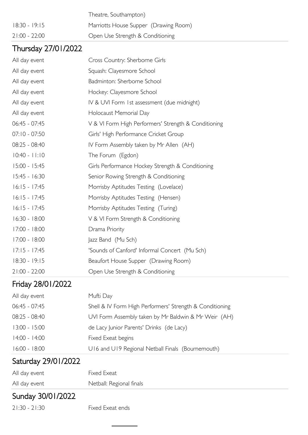|                 | Theatre, Southampton)                 |
|-----------------|---------------------------------------|
| 18:30 - 19:15   | Marriotts House Supper (Drawing Room) |
| $21:00 - 22:00$ | Open Use Strength & Conditioning      |

#### Thursday 27/01/2022

| All day event   | Cross Country: Sherborne Girls                       |
|-----------------|------------------------------------------------------|
| All day event   | Squash: Clayesmore School                            |
| All day event   | Badminton: Sherborne School                          |
| All day event   | Hockey: Clayesmore School                            |
| All day event   | IV & UVI Form 1st assessment (due midnight)          |
| All day event   | Holocaust Memorial Day                               |
| $06:45 - 07:45$ | V & VI Form High Performers' Strength & Conditioning |
| $07:10 - 07:50$ | Girls' High Performance Cricket Group                |
| 08:25 - 08:40   | IV Form Assembly taken by Mr Allen (AH)              |
| $10:40 - 11:10$ | The Forum (Egdon)                                    |
| $15:00 - 15:45$ | Girls Performance Hockey Strength & Conditioning     |
| $15:45 - 16:30$ | Senior Rowing Strength & Conditioning                |
| $16:15 - 17:45$ | Morrisby Aptitudes Testing (Lovelace)                |
| $16:15 - 17:45$ | Morrisby Aptitudes Testing (Hensen)                  |
| $16:15 - 17:45$ | Morrisby Aptitudes Testing (Turing)                  |
| $16:30 - 18:00$ | V & VI Form Strength & Conditioning                  |
| 17:00 - 18:00   | Drama Priority                                       |
| $17:00 - 18:00$ | Jazz Band (Mu Sch)                                   |
| $17:15 - 17:45$ | 'Sounds of Canford' Informal Concert (Mu Sch)        |
| 18:30 - 19:15   | Beaufort House Supper (Drawing Room)                 |
| $21:00 - 22:00$ | Open Use Strength & Conditioning                     |

#### Friday 28/01/2022

| All day event   | Mufti Day                                                |
|-----------------|----------------------------------------------------------|
| $06:45 - 07:45$ | Shell & IV Form High Performers' Strength & Conditioning |
| $08:25 - 08:40$ | UVI Form Assembly taken by Mr Baldwin & Mr Weir (AH)     |
| $13:00 - 15:00$ | de Lacy Junior Parents' Drinks (de Lacy)                 |
| $14:00 - 14:00$ | Fixed Exeat begins                                       |
| 16:00 - 18:00   | U16 and U19 Regional Netball Finals (Bournemouth)        |

#### Saturday 29/01/2022

| All day event | Fixed Exeat              |
|---------------|--------------------------|
| All day event | Netball: Regional finals |

#### Sunday 30/01/2022

21:30 - 21:30 Fixed Exeat ends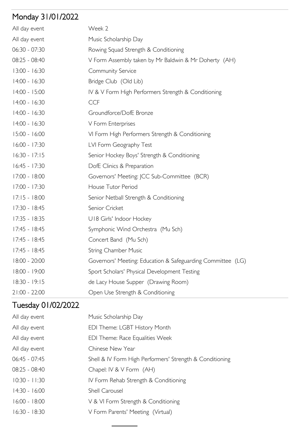# Monday 31/01/2022

| All day event   | Week 2                                                      |
|-----------------|-------------------------------------------------------------|
| All day event   | Music Scholarship Day                                       |
| 06:30 - 07:30   | Rowing Squad Strength & Conditioning                        |
| 08:25 - 08:40   | V Form Assembly taken by Mr Baldwin & Mr Doherty (AH)       |
| $13:00 - 16:30$ | Community Service                                           |
| $14:00 - 16:30$ | Bridge Club (Old Lib)                                       |
| 14:00 - 15:00   | IV & V Form High Performers Strength & Conditioning         |
| $14:00 - 16:30$ | <b>CCF</b>                                                  |
| $14:00 - 16:30$ | Groundforce/DofE Bronze                                     |
| $14:00 - 16:30$ | V Form Enterprises                                          |
| 15:00 - 16:00   | VI Form High Performers Strength & Conditioning             |
| 16:00 - 17:30   | LVI Form Geography Test                                     |
| $16:30 - 17:15$ | Senior Hockey Boys' Strength & Conditioning                 |
| $16:45 - 17:30$ | DofE Clinics & Preparation                                  |
| 17:00 - 18:00   | Governors' Meeting: JCC Sub-Committee (BCR)                 |
| $17:00 - 17:30$ | House Tutor Period                                          |
| $17:15 - 18:00$ | Senior Netball Strength & Conditioning                      |
| 17:30 - 18:45   | Senior Cricket                                              |
| $17:35 - 18:35$ | U18 Girls' Indoor Hockey                                    |
| $17:45 - 18:45$ | Symphonic Wind Orchestra (Mu Sch)                           |
| $17:45 - 18:45$ | Concert Band (Mu Sch)                                       |
| $17:45 - 18:45$ | <b>String Chamber Music</b>                                 |
| 18:00 - 20:00   | Governors' Meeting: Education & Safeguarding Committee (LG) |
| 18:00 - 19:00   | Sport Scholars' Physical Development Testing                |
| $18:30 - 19:15$ | de Lacy House Supper (Drawing Room)                         |
| $21:00 - 22:00$ | Open Use Strength & Conditioning                            |

# Tuesday 01/02/2022

| All day event   | Music Scholarship Day                                    |
|-----------------|----------------------------------------------------------|
| All day event   | EDI Theme: LGBT History Month                            |
| All day event   | EDI Theme: Race Equalities Week                          |
| All day event   | Chinese New Year                                         |
| $06:45 - 07:45$ | Shell & IV Form High Performers' Strength & Conditioning |
| $08:25 - 08:40$ | Chapel: IV & V Form (AH)                                 |
| $10:30 - 11:30$ | IV Form Rehab Strength & Conditioning                    |
| $14:30 - 16:00$ | <b>Shell Carousel</b>                                    |
| $16:00 - 18:00$ | V & VI Form Strength & Conditioning                      |
| $16:30 - 18:30$ | V Form Parents' Meeting (Virtual)                        |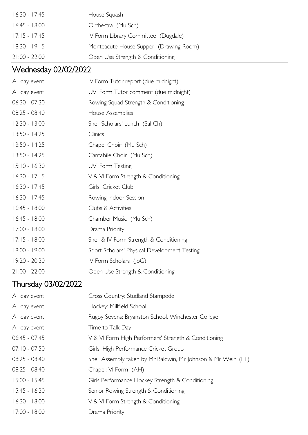| 16:30 - 17:45   | House Squash                           |
|-----------------|----------------------------------------|
| $16:45 - 18:00$ | Orchestra (Mu Sch)                     |
| $17:15 - 17:45$ | IV Form Library Committee (Dugdale)    |
| $18:30 - 19:15$ | Monteacute House Supper (Drawing Room) |
| $21:00 - 22:00$ | Open Use Strength & Conditioning       |

# Wednesday 02/02/2022

| All day event   | IV Form Tutor report (due midnight)          |
|-----------------|----------------------------------------------|
| All day event   | UVI Form Tutor comment (due midnight)        |
| 06:30 - 07:30   | Rowing Squad Strength & Conditioning         |
| 08:25 - 08:40   | House Assemblies                             |
| $12:30 - 13:00$ | Shell Scholars' Lunch (Sal Ch)               |
| $13:50 - 14:25$ | Clinics                                      |
| $13:50 - 14:25$ | Chapel Choir (Mu Sch)                        |
| $13:50 - 14:25$ | Cantabile Choir (Mu Sch)                     |
| $15:10 - 16:30$ | UVI Form Testing                             |
| $16:30 - 17:15$ | V & VI Form Strength & Conditioning          |
| $16:30 - 17:45$ | Girls' Cricket Club                          |
| $16:30 - 17:45$ | Rowing Indoor Session                        |
| $16:45 - 18:00$ | Clubs & Activities                           |
| $16:45 - 18:00$ | Chamber Music (Mu Sch)                       |
| $17:00 - 18:00$ | Drama Priority                               |
| $17:15 - 18:00$ | Shell & IV Form Strength & Conditioning      |
| 18:00 - 19:00   | Sport Scholars' Physical Development Testing |
| 19:20 - 20:30   | IV Form Scholars (JoG)                       |
| $21:00 - 22:00$ | Open Use Strength & Conditioning             |

# Thursday 03/02/2022

| All day event   | Cross Country: Studland Stampede                              |
|-----------------|---------------------------------------------------------------|
| All day event   | Hockey: Millfield School                                      |
| All day event   | Rugby Sevens: Bryanston School, Winchester College            |
| All day event   | Time to Talk Day                                              |
| $06:45 - 07:45$ | V & VI Form High Performers' Strength & Conditioning          |
| $07:10 - 07:50$ | Girls' High Performance Cricket Group                         |
| 08:25 - 08:40   | Shell Assembly taken by Mr Baldwin, Mr Johnson & Mr Weir (LT) |
| 08:25 - 08:40   | Chapel: VI Form (AH)                                          |
| $15:00 - 15:45$ | Girls Performance Hockey Strength & Conditioning              |
| $15:45 - 16:30$ | Senior Rowing Strength & Conditioning                         |
| $16:30 - 18:00$ | V & VI Form Strength & Conditioning                           |
| $17:00 - 18:00$ | Drama Priority                                                |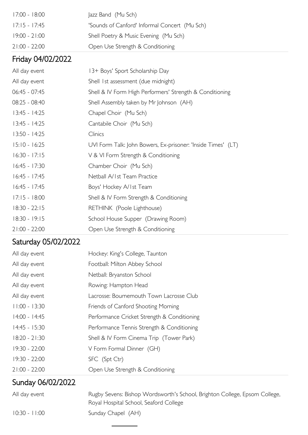| 17:00 - 18:00   | Jazz Band (Mu Sch)                            |
|-----------------|-----------------------------------------------|
| 17:15 - 17:45   | 'Sounds of Canford' Informal Concert (Mu Sch) |
| 19:00 - 21:00   | Shell Poetry & Music Evening (Mu Sch)         |
| $21:00 - 22:00$ | Open Use Strength & Conditioning              |

## Friday 04/02/2022

| All day event   | 13+ Boys' Sport Scholarship Day                              |
|-----------------|--------------------------------------------------------------|
| All day event   | Shell 1st assessment (due midnight)                          |
| $06:45 - 07:45$ | Shell & IV Form High Performers' Strength & Conditioning     |
| 08:25 - 08:40   | Shell Assembly taken by Mr Johnson (AH)                      |
| $13:45 - 14:25$ | Chapel Choir (Mu Sch)                                        |
| $13:45 - 14:25$ | Cantabile Choir (Mu Sch)                                     |
| $13:50 - 14:25$ | <b>Clinics</b>                                               |
| $15:10 - 16:25$ | UVI Form Talk: John Bowers, Ex-prisoner: 'Inside Times' (LT) |
| $16:30 - 17:15$ | V & VI Form Strength & Conditioning                          |
| $16:45 - 17:30$ | Chamber Choir (Mu Sch)                                       |
| $16:45 - 17:45$ | Netball A/Ist Team Practice                                  |
| $16:45 - 17:45$ | Boys' Hockey A/Ist Team                                      |
| $17:15 - 18:00$ | Shell & IV Form Strength & Conditioning                      |
| $18:30 - 22:15$ | RETHINK (Poole Lighthouse)                                   |
| $18:30 - 19:15$ | School House Supper (Drawing Room)                           |
| $21:00 - 22:00$ | Open Use Strength & Conditioning                             |

# Saturday 05/02/2022

| Sunday 06/02/2022 |                                             |
|-------------------|---------------------------------------------|
| $21:00 - 22:00$   | Open Use Strength & Conditioning            |
| 19:30 - 22:00     | SFC (Spt Ctr)                               |
| 19:30 - 22:00     | V Form Formal Dinner (GH)                   |
| $18:20 - 21:30$   | Shell & IV Form Cinema Trip (Tower Park)    |
| $14:45 - 15:30$   | Performance Tennis Strength & Conditioning  |
| 14:00 - 14:45     | Performance Cricket Strength & Conditioning |
| $11:00 - 13:30$   | Friends of Canford Shooting Morning         |
| All day event     | Lacrosse: Bournemouth Town Lacrosse Club    |
| All day event     | Rowing: Hampton Head                        |
| All day event     | Netball: Bryanston School                   |
| All day event     | Football: Milton Abbey School               |
| All day event     | Hockey: King's College, Taunton             |

| All day event   | Rugby Sevens: Bishop Wordsworth's School, Brighton College, Epsom College, |
|-----------------|----------------------------------------------------------------------------|
|                 | Royal Hospital School, Seaford College                                     |
| $10:30 - 11:00$ | Sunday Chapel (AH)                                                         |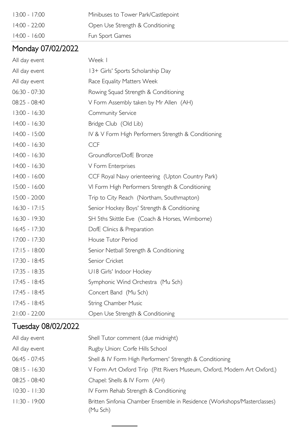| $13:00 - 17:00$ | Minibuses to Tower Park/Castlepoint |
|-----------------|-------------------------------------|
| 14:00 - 22:00   | Open Use Strength & Conditioning    |
| 4:00 - 16:00    | Fun Sport Games                     |

## Monday 07/02/2022

| All day event   | Week I                                              |
|-----------------|-----------------------------------------------------|
| All day event   | 13+ Girls' Sports Scholarship Day                   |
| All day event   | Race Equality Matters Week                          |
| 06:30 - 07:30   | Rowing Squad Strength & Conditioning                |
| 08:25 - 08:40   | V Form Assembly taken by Mr Allen (AH)              |
| $13:00 - 16:30$ | Community Service                                   |
| $14:00 - 16:30$ | Bridge Club (Old Lib)                               |
| $14:00 - 15:00$ | IV & V Form High Performers Strength & Conditioning |
| $14:00 - 16:30$ | <b>CCF</b>                                          |
| $14:00 - 16:30$ | Groundforce/DofE Bronze                             |
| $14:00 - 16:30$ | V Form Enterprises                                  |
| $14:00 - 16:00$ | CCF Royal Navy orienteering (Upton Country Park)    |
| 15:00 - 16:00   | VI Form High Performers Strength & Conditioning     |
| 15:00 - 20:00   | Trip to City Reach (Northam, Southmapton)           |
| $16:30 - 17:15$ | Senior Hockey Boys' Strength & Conditioning         |
| 16:30 - 19:30   | SH 5ths Skittle Eve (Coach & Horses, Wimborne)      |
| $16:45 - 17:30$ | DofE Clinics & Preparation                          |
| 17:00 - 17:30   | House Tutor Period                                  |
| $17:15 - 18:00$ | Senior Netball Strength & Conditioning              |
| 17:30 - 18:45   | Senior Cricket                                      |
| $17:35 - 18:35$ | U18 Girls' Indoor Hockey                            |
| $17:45 - 18:45$ | Symphonic Wind Orchestra (Mu Sch)                   |
| $17:45 - 18:45$ | Concert Band (Mu Sch)                               |
| 17:45 - 18:45   | <b>String Chamber Music</b>                         |
| 21:00 - 22:00   | Open Use Strength & Conditioning                    |

## Tuesday 08/02/2022

| All day event   | Shell Tutor comment (due midnight)                                                   |
|-----------------|--------------------------------------------------------------------------------------|
| All day event   | Rugby Union: Corfe Hills School                                                      |
| 06:45 - 07:45   | Shell & IV Form High Performers' Strength & Conditioning                             |
| $08:15 - 16:30$ | V Form Art Oxford Trip (Pitt Rivers Museum, Oxford, Modern Art Oxford,)              |
| 08:25 - 08:40   | Chapel: Shells & IV Form (AH)                                                        |
| $10:30 - 11:30$ | IV Form Rehab Strength & Conditioning                                                |
| $11:30 - 19:00$ | Britten Sinfonia Chamber Ensemble in Residence (Workshops/Masterclasses)<br>(Mu Sch) |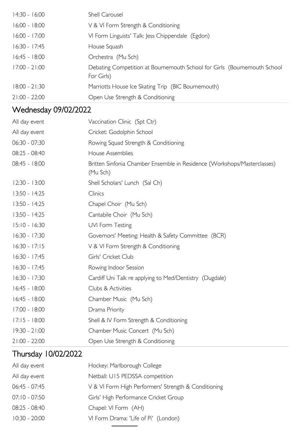| $14:30 - 16:00$ | Shell Carousel                                                                         |
|-----------------|----------------------------------------------------------------------------------------|
| $16:00 - 18:00$ | V & VI Form Strength & Conditioning                                                    |
| $16:00 - 17:00$ | VI Form Linguists' Talk: Jess Chippendale (Egdon)                                      |
| $16:30 - 17:45$ | House Squash                                                                           |
| $16:45 - 18:00$ | Orchestra (Mu Sch)                                                                     |
| $17:00 - 21:00$ | Debating Competition at Bournemouth School for Girls (Bournemouth School<br>For Girls) |
| $18:00 - 21:30$ | Marriotts House Ice Skating Trip (BIC Bournemouth)                                     |
| $21:00 - 22:00$ | Open Use Strength & Conditioning                                                       |

# Wednesday 09/02/2022

| All day event   | Vaccination Clinic (Spt Ctr)                                                         |
|-----------------|--------------------------------------------------------------------------------------|
| All day event   | Cricket: Godolphin School                                                            |
| 06:30 - 07:30   | Rowing Squad Strength & Conditioning                                                 |
| 08:25 - 08:40   | House Assemblies                                                                     |
| 08:45 - 18:00   | Britten Sinfonia Chamber Ensemble in Residence (Workshops/Masterclasses)<br>(Mu Sch) |
| $12:30 - 13:00$ | Shell Scholars' Lunch (Sal Ch)                                                       |
| $13:50 - 14:25$ | Clinics                                                                              |
| $13:50 - 14:25$ | Chapel Choir (Mu Sch)                                                                |
| 13:50 - 14:25   | Cantabile Choir (Mu Sch)                                                             |
| $15:10 - 16:30$ | UVI Form Testing                                                                     |
| $16:30 - 17:30$ | Governors' Meeting: Health & Safety Committee (BCR)                                  |
| $16:30 - 17:15$ | V & VI Form Strength & Conditioning                                                  |
| 16:30 - 17:45   | Girls' Cricket Club                                                                  |
| 16:30 - 17:45   | Rowing Indoor Session                                                                |
| 16:30 - 17:30   | Cardiff Uni Talk re applying to Med/Dentistry (Dugdale)                              |
| $16:45 - 18:00$ | Clubs & Activities                                                                   |
| $16:45 - 18:00$ | Chamber Music (Mu Sch)                                                               |
| 17:00 - 18:00   | Drama Priority                                                                       |
| $17:15 - 18:00$ | Shell & IV Form Strength & Conditioning                                              |
| $19:30 - 21:00$ | Chamber Music Concert (Mu Sch)                                                       |
| $21:00 - 22:00$ | Open Use Strength & Conditioning                                                     |

# Thursday 10/02/2022

| Hockey: Marlborough College                          |
|------------------------------------------------------|
| Netball: U15 PEDSSA competition                      |
| V & VI Form High Performers' Strength & Conditioning |
| Girls' High Performance Cricket Group                |
| Chapel: VI Form (AH)                                 |
| VI Form Drama: 'Life of Pi' (London)                 |
|                                                      |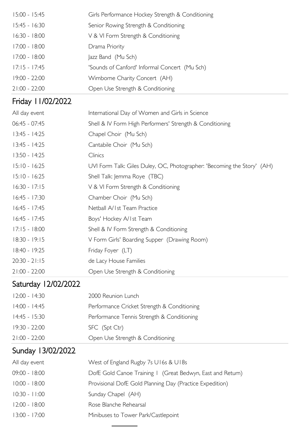| $15:00 - 15:45$     | Girls Performance Hockey Strength & Conditioning                        |
|---------------------|-------------------------------------------------------------------------|
| $15:45 - 16:30$     | Senior Rowing Strength & Conditioning                                   |
| $16:30 - 18:00$     | V & VI Form Strength & Conditioning                                     |
| 17:00 - 18:00       | Drama Priority                                                          |
| 17:00 - 18:00       | Jazz Band (Mu Sch)                                                      |
| $17:15 - 17:45$     | 'Sounds of Canford' Informal Concert (Mu Sch)                           |
| 19:00 - 22:00       | Wimborne Charity Concert (AH)                                           |
| $21:00 - 22:00$     | Open Use Strength & Conditioning                                        |
| Friday 11/02/2022   |                                                                         |
| All day event       | International Day of Women and Girls in Science                         |
| 06:45 - 07:45       | Shell & IV Form High Performers' Strength & Conditioning                |
| $13:45 - 14:25$     | Chapel Choir (Mu Sch)                                                   |
| $13:45 - 14:25$     | Cantabile Choir (Mu Sch)                                                |
| $13:50 - 14:25$     | Clinics                                                                 |
| $15:10 - 16:25$     | UVI Form Talk: Giles Duley, OC, Photographer: 'Becoming the Story' (AH) |
| $15:10 - 16:25$     | Shell Talk: Jemma Roye (TBC)                                            |
| $16:30 - 17:15$     | V & VI Form Strength & Conditioning                                     |
| $16:45 - 17:30$     | Chamber Choir (Mu Sch)                                                  |
| $16:45 - 17:45$     | Netball A/1st Team Practice                                             |
| $16:45 - 17:45$     | Boys' Hockey A/Ist Team                                                 |
| $17:15 - 18:00$     | Shell & IV Form Strength & Conditioning                                 |
| $18:30 - 19:15$     | V Form Girls' Boarding Supper (Drawing Room)                            |
| 18:40 - 19:25       | Friday Foyer (LT)                                                       |
| $20:30 - 21:15$     | de Lacy House Families                                                  |
| $21:00 - 22:00$     | Open Use Strength & Conditioning                                        |
| Saturday 12/02/2022 |                                                                         |
| $12:00 - 14:30$     | 2000 Reunion Lunch                                                      |
| 14:00 - 14:45       | Performance Cricket Strength & Conditioning                             |
| 14:45 - 15:30       | Performance Tennis Strength & Conditioning                              |
| 19:30 - 22:00       | SFC (Spt Ctr)                                                           |
| $21:00 - 22:00$     | Open Use Strength & Conditioning                                        |
| Sunday 13/02/2022   |                                                                         |
| All day event       | West of England Rugby 7s U16s & U18s                                    |
| 09:00 - 18:00       | DofE Gold Canoe Training I (Great Bedwyn, East and Return)              |
| $10:00 - 18:00$     | Provisional DofE Gold Planning Day (Practice Expedition)                |
| $10:30 - 11:00$     | Sunday Chapel (AH)                                                      |
| $12:00 - 18:00$     | Rose Blanche Rehearsal                                                  |

13:00 - 17:00 Minibuses to Tower Park/Castlepoint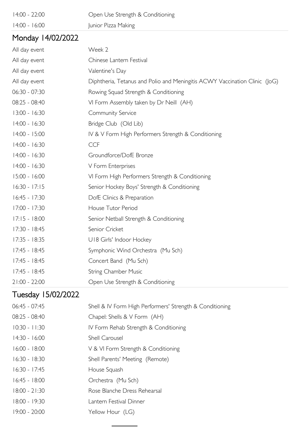| $14:00 - 22:00$ | Open Use Strength & Conditioning |
|-----------------|----------------------------------|
| 14:00 - 16:00   | Junior Pizza Making              |

#### Monday 14/02/2022

| All day event   | Week 2                                                                     |
|-----------------|----------------------------------------------------------------------------|
| All day event   | Chinese Lantern Festival                                                   |
| All day event   | Valentine's Day                                                            |
| All day event   | Diphtheria, Tetanus and Polio and Meningitis ACWY Vaccination Clinic (JoG) |
| 06:30 - 07:30   | Rowing Squad Strength & Conditioning                                       |
| 08:25 - 08:40   | VI Form Assembly taken by Dr Neill (AH)                                    |
| $13:00 - 16:30$ | Community Service                                                          |
| 14:00 - 16:30   | Bridge Club (Old Lib)                                                      |
| $14:00 - 15:00$ | IV & V Form High Performers Strength & Conditioning                        |
| $14:00 - 16:30$ | <b>CCF</b>                                                                 |
| $14:00 - 16:30$ | Groundforce/DofE Bronze                                                    |
| $14:00 - 16:30$ | V Form Enterprises                                                         |
| 15:00 - 16:00   | VI Form High Performers Strength & Conditioning                            |
| $16:30 - 17:15$ | Senior Hockey Boys' Strength & Conditioning                                |
| $16:45 - 17:30$ | DofE Clinics & Preparation                                                 |
| 17:00 - 17:30   | House Tutor Period                                                         |
| $17:15 - 18:00$ | Senior Netball Strength & Conditioning                                     |
| $17:30 - 18:45$ | Senior Cricket                                                             |
| $17:35 - 18:35$ | U18 Girls' Indoor Hockey                                                   |
| $17:45 - 18:45$ | Symphonic Wind Orchestra (Mu Sch)                                          |
| $17:45 - 18:45$ | Concert Band (Mu Sch)                                                      |
| $17:45 - 18:45$ | <b>String Chamber Music</b>                                                |
| $21:00 - 22:00$ | Open Use Strength & Conditioning                                           |

# Tuesday 15/02/2022

| $06:45 - 07:45$ | Shell & IV Form High Performers' Strength & Conditioning |
|-----------------|----------------------------------------------------------|
| $08:25 - 08:40$ | Chapel: Shells & V Form (AH)                             |
| $10:30 - 11:30$ | IV Form Rehab Strength & Conditioning                    |
| $14:30 - 16:00$ | <b>Shell Carousel</b>                                    |
| $16:00 - 18:00$ | V & VI Form Strength & Conditioning                      |
| $16:30 - 18:30$ | Shell Parents' Meeting (Remote)                          |
| $16:30 - 17:45$ | House Squash                                             |
| $16:45 - 18:00$ | Orchestra (Mu Sch)                                       |
| $18:00 - 21:30$ | Rose Blanche Dress Rehearsal                             |
| $18:00 - 19:30$ | Lantern Festival Dinner                                  |
| $19:00 - 20:00$ | Yellow Hour (LG)                                         |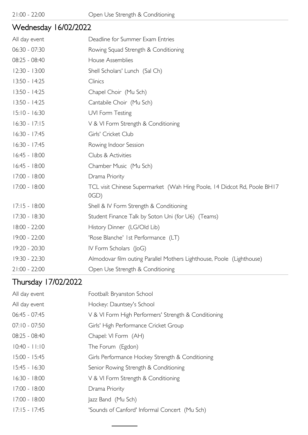#### Wednesday 16/02/2022

| All day event   | Deadline for Summer Exam Entries                                                   |
|-----------------|------------------------------------------------------------------------------------|
| $06:30 - 07:30$ | Rowing Squad Strength & Conditioning                                               |
| 08:25 - 08:40   | House Assemblies                                                                   |
| $12:30 - 13:00$ | Shell Scholars' Lunch (Sal Ch)                                                     |
| $13:50 - 14:25$ | Clinics                                                                            |
| 13:50 - 14:25   | Chapel Choir (Mu Sch)                                                              |
| $13:50 - 14:25$ | Cantabile Choir (Mu Sch)                                                           |
| $15:10 - 16:30$ | UVI Form Testing                                                                   |
| $16:30 - 17:15$ | V & VI Form Strength & Conditioning                                                |
| $16:30 - 17:45$ | Girls' Cricket Club                                                                |
| $16:30 - 17:45$ | Rowing Indoor Session                                                              |
| $16:45 - 18:00$ | Clubs & Activities                                                                 |
| $16:45 - 18:00$ | Chamber Music (Mu Sch)                                                             |
| 17:00 - 18:00   | Drama Priority                                                                     |
| 17:00 - 18:00   | TCL visit Chinese Supermarket (Wah Hing Poole, 14 Didcot Rd, Poole BH17<br>$OGD$ ) |
| $17:15 - 18:00$ | Shell & IV Form Strength & Conditioning                                            |
| 17:30 - 18:30   | Student Finance Talk by Soton Uni (for U6) (Teams)                                 |
| 18:00 - 22:00   | History Dinner (LG/Old Lib)                                                        |
| 19:00 - 22:00   | 'Rose Blanche' 1st Performance (LT)                                                |
| 19:20 - 20:30   | IV Form Scholars (JoG)                                                             |
| 19:30 - 22:30   | Almodovar film outing Parallel Mothers Lighthouse, Poole (Lighthouse)              |
| $21:00 - 22:00$ | Open Use Strength & Conditioning                                                   |

## Thursday 17/02/2022

| All day event   | Football: Bryanston School                           |
|-----------------|------------------------------------------------------|
| All day event   | Hockey: Dauntsey's School                            |
| $06:45 - 07:45$ | V & VI Form High Performers' Strength & Conditioning |
| $07:10 - 07:50$ | Girls' High Performance Cricket Group                |
| $08:25 - 08:40$ | Chapel: VI Form (AH)                                 |
| $10:40 - 11:10$ | The Forum (Egdon)                                    |
| $15:00 - 15:45$ | Girls Performance Hockey Strength & Conditioning     |
| $15:45 - 16:30$ | Senior Rowing Strength & Conditioning                |
| $16:30 - 18:00$ | V & VI Form Strength & Conditioning                  |
| $17:00 - 18:00$ | Drama Priority                                       |
| $17:00 - 18:00$ | Jazz Band (Mu Sch)                                   |
| $17:15 - 17:45$ | 'Sounds of Canford' Informal Concert (Mu Sch)        |
|                 |                                                      |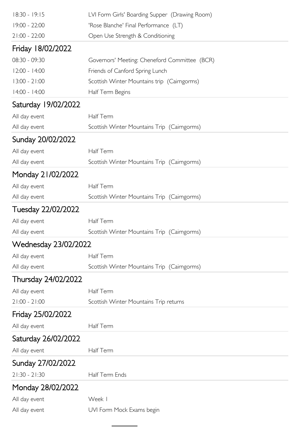| 18:30 - 19:15        | LVI Form Girls' Boarding Supper (Drawing Room) |
|----------------------|------------------------------------------------|
| 19:00 - 22:00        | 'Rose Blanche' Final Performance (LT)          |
| $21:00 - 22:00$      | Open Use Strength & Conditioning               |
| Friday 18/02/2022    |                                                |
| 08:30 - 09:30        | Governors' Meeting: Cheneford Committee (BCR)  |
| $12:00 - 14:00$      | Friends of Canford Spring Lunch                |
| $13:00 - 21:00$      | Scottish Winter Mountains trip (Cairngorms)    |
| 14:00 - 14:00        | Half Term Begins                               |
| Saturday 19/02/2022  |                                                |
| All day event        | Half Term                                      |
| All day event        | Scottish Winter Mountains Trip (Cairngorms)    |
| Sunday 20/02/2022    |                                                |
| All day event        | Half Term                                      |
| All day event        | Scottish Winter Mountains Trip (Cairngorms)    |
| Monday 21/02/2022    |                                                |
| All day event        | Half Term                                      |
| All day event        | Scottish Winter Mountains Trip (Caimgorms)     |
| Tuesday 22/02/2022   |                                                |
| All day event        | Half Term                                      |
| All day event        | Scottish Winter Mountains Trip (Cairngorms)    |
| Wednesday 23/02/2022 |                                                |
| All day event        | Half Term                                      |
| All day event        | Scottish Winter Mountains Trip (Cairngorms)    |
| Thursday 24/02/2022  |                                                |
| All day event        | Half Term                                      |
| $21:00 - 21:00$      | Scottish Winter Mountains Trip returns         |
| Friday 25/02/2022    |                                                |
| All day event        | Half Term                                      |
| Saturday 26/02/2022  |                                                |
| All day event        | Half Term                                      |
| Sunday 27/02/2022    |                                                |
| $21:30 - 21:30$      | Half Term Ends                                 |
| Monday 28/02/2022    |                                                |
| All day event        | Week I                                         |
| All day event        | UVI Form Mock Exams begin                      |
|                      |                                                |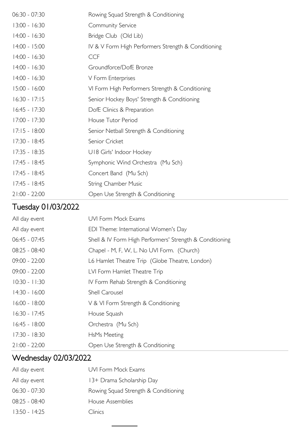| $06:30 - 07:30$ | Rowing Squad Strength & Conditioning                |
|-----------------|-----------------------------------------------------|
| $13:00 - 16:30$ | Community Service                                   |
| $14:00 - 16:30$ | Bridge Club (Old Lib)                               |
| $14:00 - 15:00$ | IV & V Form High Performers Strength & Conditioning |
| $14:00 - 16:30$ | <b>CCF</b>                                          |
| $14:00 - 16:30$ | Groundforce/DofE Bronze                             |
| $14:00 - 16:30$ | V Form Enterprises                                  |
| $15:00 - 16:00$ | VI Form High Performers Strength & Conditioning     |
| $16:30 - 17:15$ | Senior Hockey Boys' Strength & Conditioning         |
| $16:45 - 17:30$ | DofE Clinics & Preparation                          |
| $17:00 - 17:30$ | House Tutor Period                                  |
| $17:15 - 18:00$ | Senior Netball Strength & Conditioning              |
| 17:30 - 18:45   | Senior Cricket                                      |
| $17:35 - 18:35$ | U18 Girls' Indoor Hockey                            |
| $17:45 - 18:45$ | Symphonic Wind Orchestra (Mu Sch)                   |
| $17:45 - 18:45$ | Concert Band (Mu Sch)                               |
| $17:45 - 18:45$ | <b>String Chamber Music</b>                         |
| $21:00 - 22:00$ | Open Use Strength & Conditioning                    |

# Tuesday 01/03/2022

| All day event   | <b>UVI Form Mock Exams</b>                               |
|-----------------|----------------------------------------------------------|
| All day event   | EDI Theme: International Women's Day                     |
| 06:45 - 07:45   | Shell & IV Form High Performers' Strength & Conditioning |
| 08:25 - 08:40   | Chapel - M, F, W, L. No UVI Form. (Church)               |
| $09:00 - 22:00$ | L6 Hamlet Theatre Trip (Globe Theatre, London)           |
| $09:00 - 22:00$ | LVI Form Hamlet Theatre Trip                             |
| $10:30 - 11:30$ | IV Form Rehab Strength & Conditioning                    |
| $14:30 - 16:00$ | Shell Carousel                                           |
| $16:00 - 18:00$ | V & VI Form Strength & Conditioning                      |
| $16:30 - 17:45$ | House Squash                                             |
| $16:45 - 18:00$ | Orchestra (Mu Sch)                                       |
| $17:30 - 18:30$ | HsMs Meeting                                             |
| $21:00 - 22:00$ | Open Use Strength & Conditioning                         |

# Wednesday 02/03/2022

| All day event   | UVI Form Mock Exams                  |
|-----------------|--------------------------------------|
| All day event   | 13+ Drama Scholarship Day            |
| $06:30 - 07:30$ | Rowing Squad Strength & Conditioning |
| $08:25 - 08:40$ | House Assemblies                     |
| $13:50 - 14:25$ | Clinics                              |
|                 |                                      |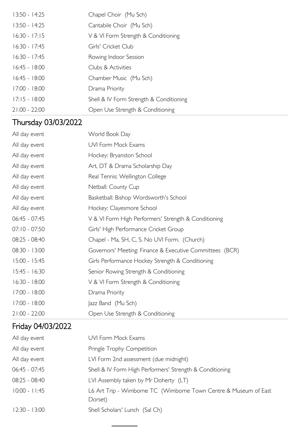| $13:50 - 14:25$ | Chapel Choir (Mu Sch)                   |
|-----------------|-----------------------------------------|
| $13:50 - 14:25$ | Cantabile Choir (Mu Sch)                |
| $16:30 - 17:15$ | V & VI Form Strength & Conditioning     |
| $16:30 - 17:45$ | Girls' Cricket Club                     |
| $16:30 - 17:45$ | Rowing Indoor Session                   |
| $16:45 - 18:00$ | Clubs & Activities                      |
| $16:45 - 18:00$ | Chamber Music (Mu Sch)                  |
| $17:00 - 18:00$ | Drama Priority                          |
| $17:15 - 18:00$ | Shell & IV Form Strength & Conditioning |
| $21:00 - 22:00$ | Open Use Strength & Conditioning        |

# Thursday 03/03/2022

| All day event   | World Book Day                                           |
|-----------------|----------------------------------------------------------|
| All day event   | <b>UVI Form Mock Exams</b>                               |
| All day event   | Hockey: Bryanston School                                 |
| All day event   | Art, DT & Drama Scholarship Day                          |
| All day event   | Real Tennis: Wellington College                          |
| All day event   | Netball: County Cup                                      |
| All day event   | Basketball: Bishop Wordsworth's School                   |
| All day event   | Hockey: Clayesmore School                                |
| 06:45 - 07:45   | V & VI Form High Performers' Strength & Conditioning     |
| $07:10 - 07:50$ | Girls' High Performance Cricket Group                    |
| $08:25 - 08:40$ | Chapel - Ma, SH, C, S. No UVI Form. (Church)             |
| $08:30 - 13:00$ | Governors' Meeting: Finance & Executive Committees (BCR) |
| 15:00 - 15:45   | Girls Performance Hockey Strength & Conditioning         |
| $15:45 - 16:30$ | Senior Rowing Strength & Conditioning                    |
| $16:30 - 18:00$ | V & VI Form Strength & Conditioning                      |
| 17:00 - 18:00   | Drama Priority                                           |
| 17:00 - 18:00   | Jazz Band (Mu Sch)                                       |
| $21:00 - 22:00$ | Open Use Strength & Conditioning                         |

## Friday 04/03/2022

| All day event   | <b>UVI Form Mock Exams</b>                                                  |
|-----------------|-----------------------------------------------------------------------------|
| All day event   | Pringle Trophy Competition                                                  |
| All day event   | LVI Form 2nd assessment (due midnight)                                      |
| $06:45 - 07:45$ | Shell & IV Form High Performers' Strength & Conditioning                    |
| 08:25 - 08:40   | LVI Assembly taken by Mr Doherty (LT)                                       |
| $10:00 - 11:45$ | L6 Art Trip - Wimborne TC (Wimborne Town Centre & Museum of East<br>Dorset) |
| $12:30 - 13:00$ | Shell Scholars' Lunch (Sal Ch)                                              |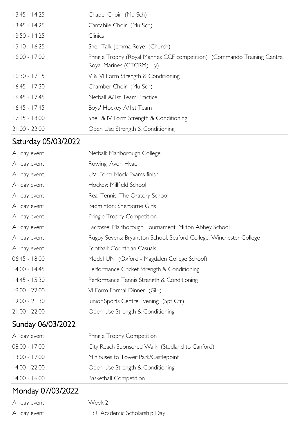| $13:45 - 14:25$ | Chapel Choir (Mu Sch)                                                                                  |
|-----------------|--------------------------------------------------------------------------------------------------------|
| $13:45 - 14:25$ | Cantabile Choir (Mu Sch)                                                                               |
| $13:50 - 14:25$ | Clinics                                                                                                |
| $15:10 - 16:25$ | Shell Talk: Jemma Roye (Church)                                                                        |
| $16:00 - 17:00$ | Pringle Trophy (Royal Marines CCF competition) (Commando Training Centre<br>Royal Marines (CTCRM), Ly) |
| $16:30 - 17:15$ | V & VI Form Strength & Conditioning                                                                    |
| $16:45 - 17:30$ | Chamber Choir (Mu Sch)                                                                                 |
| $16:45 - 17:45$ | Netball A/1st Team Practice                                                                            |
| $16:45 - 17:45$ | Boys' Hockey A/Ist Team                                                                                |
| $17:15 - 18:00$ | Shell & IV Form Strength & Conditioning                                                                |
| $21:00 - 22:00$ | Open Use Strength & Conditioning                                                                       |

## Saturday 05/03/2022

| All day event   | Netball: Marlborough College                                        |
|-----------------|---------------------------------------------------------------------|
| All day event   | Rowing: Avon Head                                                   |
| All day event   | UVI Form Mock Exams finish                                          |
| All day event   | Hockey: Millfield School                                            |
| All day event   | Real Tennis: The Oratory School                                     |
| All day event   | Badminton: Sherborne Girls                                          |
| All day event   | Pringle Trophy Competition                                          |
| All day event   | Lacrosse: Marlborough Tournament, Milton Abbey School               |
| All day event   | Rugby Sevens: Bryanston School, Seaford College, Winchester College |
| All day event   | Football: Corinthian Casuals                                        |
| $06:45 - 18:00$ | Model UN (Oxford - Magdalen College School)                         |
| 14:00 - 14:45   | Performance Cricket Strength & Conditioning                         |
| $14:45 - 15:30$ | Performance Tennis Strength & Conditioning                          |
| $19:00 - 22:00$ | VI Form Formal Dinner (GH)                                          |
| $19:00 - 21:30$ | Junior Sports Centre Evening (Spt Ctr)                              |
| $21:00 - 22:00$ | Open Use Strength & Conditioning                                    |

# Sunday 06/03/2022

| All day event   | Pringle Trophy Competition                      |
|-----------------|-------------------------------------------------|
| $08:00 - 17:00$ | City Reach Sponsored Walk (Studland to Canford) |
| $13:00 - 17:00$ | Minibuses to Tower Park/Castlepoint             |
| $14:00 - 22:00$ | Open Use Strength & Conditioning                |
| $14:00 - 16:00$ | <b>Basketball Competition</b>                   |

# Monday 07/03/2022

| All day event | Week 2                       |
|---------------|------------------------------|
| All day event | 13+ Academic Scholarship Day |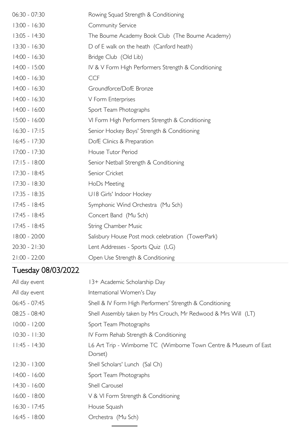| $06:30 - 07:30$ | Rowing Squad Strength & Conditioning                |
|-----------------|-----------------------------------------------------|
| 13:00 - 16:30   | Community Service                                   |
| $13:05 - 14:30$ | The Bourne Academy Book Club (The Bourne Academy)   |
| $13:30 - 16:30$ | D of E walk on the heath (Canford heath)            |
| 14:00 - 16:30   | Bridge Club (Old Lib)                               |
| $14:00 - 15:00$ | IV & V Form High Performers Strength & Conditioning |
| $14:00 - 16:30$ | <b>CCF</b>                                          |
| $14:00 - 16:30$ | Groundforce/DofE Bronze                             |
| $14:00 - 16:30$ | V Form Enterprises                                  |
| $14:00 - 16:00$ | Sport Team Photographs                              |
| 15:00 - 16:00   | VI Form High Performers Strength & Conditioning     |
| $16:30 - 17:15$ | Senior Hockey Boys' Strength & Conditioning         |
| $16:45 - 17:30$ | DofE Clinics & Preparation                          |
| 17:00 - 17:30   | House Tutor Period                                  |
| $17:15 - 18:00$ | Senior Netball Strength & Conditioning              |
| 17:30 - 18:45   | Senior Cricket                                      |
| 17:30 - 18:30   | HoDs Meeting                                        |
| 17:35 - 18:35   | U18 Girls' Indoor Hockey                            |
| $17:45 - 18:45$ | Symphonic Wind Orchestra (Mu Sch)                   |
| 17:45 - 18:45   | Concert Band (Mu Sch)                               |
| $17:45 - 18:45$ | String Chamber Music                                |
| 18:00 - 20:00   | Salisbury House Post mock celebration (TowerPark)   |
| $20:30 - 21:30$ | Lent Addresses - Sports Quiz (LG)                   |
| $21:00 - 22:00$ | Open Use Strength & Conditioning                    |

# Tuesday 08/03/2022

| All day event   | 13+ Academic Scholarship Day                                                |
|-----------------|-----------------------------------------------------------------------------|
| All day event   | International Women's Day                                                   |
| $06:45 - 07:45$ | Shell & IV Form High Performers' Strength & Conditioning                    |
| $08:25 - 08:40$ | Shell Assembly taken by Mrs Crouch, Mr Redwood & Mrs Will (LT)              |
| $10:00 - 12:00$ | Sport Team Photographs                                                      |
| $10:30 - 11:30$ | IV Form Rehab Strength & Conditioning                                       |
| $11:45 - 14:30$ | L6 Art Trip - Wimborne TC (Wimborne Town Centre & Museum of East<br>Dorset) |
| $12:30 - 13:00$ | Shell Scholars' Lunch (Sal Ch)                                              |
| $14:00 - 16:00$ | Sport Team Photographs                                                      |
| 14:30 - 16:00   | Shell Carousel                                                              |
| $16:00 - 18:00$ | V & VI Form Strength & Conditioning                                         |
| $16:30 - 17:45$ | House Squash                                                                |
| $16:45 - 18:00$ | Orchestra (Mu Sch)                                                          |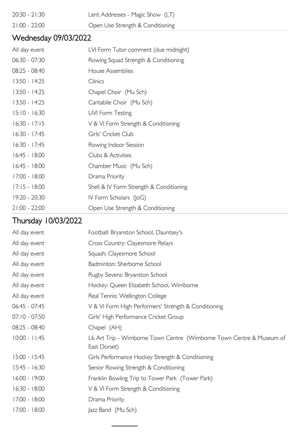- 20:30 21:30 Lent Addresses Magic Show (LT)
- 
- 21:00 22:00 Open Use Strength & Conditioning

## Wednesday 09/03/2022

| All day event   | LVI Form Tutor comment (due midnight)   |
|-----------------|-----------------------------------------|
| $06:30 - 07:30$ | Rowing Squad Strength & Conditioning    |
| $08:25 - 08:40$ | House Assemblies                        |
| $13:50 - 14:25$ | Clinics                                 |
| 13:50 - 14:25   | Chapel Choir (Mu Sch)                   |
| $13:50 - 14:25$ | Cantabile Choir (Mu Sch)                |
| $15:10 - 16:30$ | UVI Form Testing                        |
| $16:30 - 17:15$ | V & VI Form Strength & Conditioning     |
| $16:30 - 17:45$ | Girls' Cricket Club                     |
| $16:30 - 17:45$ | Rowing Indoor Session                   |
| $16:45 - 18:00$ | Clubs & Activities                      |
| $16:45 - 18:00$ | Chamber Music (Mu Sch)                  |
| 17:00 - 18:00   | Drama Priority                          |
| $17:15 - 18:00$ | Shell & IV Form Strength & Conditioning |
| $19:20 - 20:30$ | IV Form Scholars (JoG)                  |
| $21:00 - 22:00$ | Open Use Strength & Conditioning        |

## Thursday 10/03/2022

| Football: Bryanston School, Dauntsey's                                               |
|--------------------------------------------------------------------------------------|
| Cross Country: Clayesmore Relays                                                     |
| Squash: Clayesmore School                                                            |
| Badminton: Sherborne School                                                          |
| Rugby Sevens: Bryanston School                                                       |
| Hockey: Queen Elizabeth School, Wimborne                                             |
| Real Tennis: Wellington College                                                      |
| V & VI Form High Performers' Strength & Conditioning                                 |
| Girls' High Performance Cricket Group                                                |
| Chapel (AH)                                                                          |
| L6 Art Trip - Wimborne Town Centre (Wimborne Town Centre & Museum of<br>East Dorset) |
| Girls Performance Hockey Strength & Conditioning                                     |
| Senior Rowing Strength & Conditioning                                                |
| Franklin Bowling Trip to Tower Park (Tower Park)                                     |
| V & VI Form Strength & Conditioning                                                  |
| Drama Priority                                                                       |
| Jazz Band (Mu Sch)                                                                   |
|                                                                                      |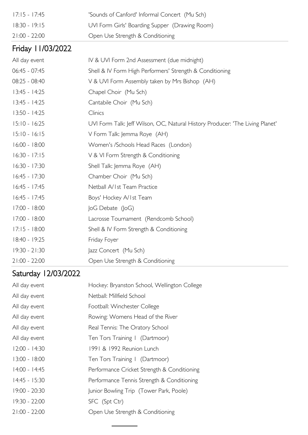| $17:15 - 17:45$   | 'Sounds of Canford' Informal Concert (Mu Sch)                                 |
|-------------------|-------------------------------------------------------------------------------|
| $18:30 - 19:15$   | UVI Form Girls' Boarding Supper (Drawing Room)                                |
| $21:00 - 22:00$   | Open Use Strength & Conditioning                                              |
| Friday 11/03/2022 |                                                                               |
| All day event     | IV & UVI Form 2nd Assessment (due midnight)                                   |
| 06:45 - 07:45     | Shell & IV Form High Performers' Strength & Conditioning                      |
| 08:25 - 08:40     | V & UVI Form Assembly taken by Mrs Bishop (AH)                                |
| $13:45 - 14:25$   | Chapel Choir (Mu Sch)                                                         |
| $13:45 - 14:25$   | Cantabile Choir (Mu Sch)                                                      |
| $13:50 - 14:25$   | Clinics                                                                       |
| $15:10 - 16:25$   | UVI Form Talk: Jeff Wilson, OC, Natural History Producer: 'The Living Planet' |
| $15:10 - 16:15$   | V Form Talk: Jemma Roye (AH)                                                  |
| $16:00 - 18:00$   | Women's /Schools Head Races (London)                                          |
| $16:30 - 17:15$   | V & VI Form Strength & Conditioning                                           |
| 16:30 - 17:30     | Shell Talk: Jemma Roye (AH)                                                   |
| $16:45 - 17:30$   | Chamber Choir (Mu Sch)                                                        |
| $16:45 - 17:45$   | Netball A/1st Team Practice                                                   |
| $16:45 - 17:45$   | Boys' Hockey A/Ist Team                                                       |
| 17:00 - 18:00     | $ oG$ Debate $( oG\rangle)$                                                   |
| $17:00 - 18:00$   | Lacrosse Tournament (Rendcomb School)                                         |
| $17:15 - 18:00$   | Shell & IV Form Strength & Conditioning                                       |
| 18:40 - 19:25     | Friday Foyer                                                                  |
| $19:30 - 21:30$   | Jazz Concert (Mu Sch)                                                         |
| $21:00 - 22:00$   | Open Use Strength & Conditioning                                              |

# Saturday 12/03/2022

| All day event   | Hockey: Bryanston School, Wellington College |
|-----------------|----------------------------------------------|
| All day event   | Netball: Millfield School                    |
| All day event   | Football: Winchester College                 |
| All day event   | Rowing: Womens Head of the River             |
| All day event   | Real Tennis: The Oratory School              |
| All day event   | Ten Tors Training   (Dartmoor)               |
| $12:00 - 14:30$ | 1991 & 1992 Reunion Lunch                    |
| $13:00 - 18:00$ | Ten Tors Training   (Dartmoor)               |
| $14:00 - 14:45$ | Performance Cricket Strength & Conditioning  |
| $14:45 - 15:30$ | Performance Tennis Strength & Conditioning   |
| 19:00 - 20:30   | Junior Bowling Trip (Tower Park, Poole)      |
| 19:30 - 22:00   | SFC (Spt Ctr)                                |
| $21:00 - 22:00$ | Open Use Strength & Conditioning             |
|                 |                                              |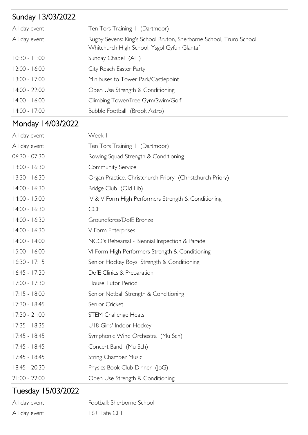# Sunday 13/03/2022

| All day event   | Ten Tors Training   (Dartmoor)                                                                                     |
|-----------------|--------------------------------------------------------------------------------------------------------------------|
| All day event   | Rugby Sevens: King's School Bruton, Sherborne School, Truro School,<br>Whitchurch High School, Ysgol Gyfun Glantaf |
| $10:30 - 11:00$ | Sunday Chapel (AH)                                                                                                 |
| $12:00 - 16:00$ | City Reach Easter Party                                                                                            |
| $13:00 - 17:00$ | Minibuses to Tower Park/Castlepoint                                                                                |
| $14:00 - 22:00$ | Open Use Strength & Conditioning                                                                                   |
| $14:00 - 16:00$ | Climbing Tower/Free Gym/Swim/Golf                                                                                  |
| $14:00 - 17:00$ | Bubble Football (Brook Astro)                                                                                      |

## Monday 14/03/2022

| All day event   | Week I                                                    |
|-----------------|-----------------------------------------------------------|
| All day event   | Ten Tors Training   (Dartmoor)                            |
| 06:30 - 07:30   | Rowing Squad Strength & Conditioning                      |
| $13:00 - 16:30$ | Community Service                                         |
| $13:30 - 16:30$ | Organ Practice, Christchurch Priory (Christchurch Priory) |
| 14:00 - 16:30   | Bridge Club (Old Lib)                                     |
| 14:00 - 15:00   | IV & V Form High Performers Strength & Conditioning       |
| 14:00 - 16:30   | <b>CCF</b>                                                |
| $14:00 - 16:30$ | Groundforce/DofE Bronze                                   |
| $14:00 - 16:30$ | V Form Enterprises                                        |
| 14:00 - 14:00   | NCO's Rehearsal - Biennial Inspection & Parade            |
| $15:00 - 16:00$ | VI Form High Performers Strength & Conditioning           |
| $16:30 - 17:15$ | Senior Hockey Boys' Strength & Conditioning               |
| $16:45 - 17:30$ | DofE Clinics & Preparation                                |
| 17:00 - 17:30   | House Tutor Period                                        |
| $17:15 - 18:00$ | Senior Netball Strength & Conditioning                    |
| 17:30 - 18:45   | Senior Cricket                                            |
| $17:30 - 21:00$ | <b>STEM Challenge Heats</b>                               |
| $17:35 - 18:35$ | U18 Girls' Indoor Hockey                                  |
| $17:45 - 18:45$ | Symphonic Wind Orchestra (Mu Sch)                         |
| $17:45 - 18:45$ | Concert Band (Mu Sch)                                     |
| $17:45 - 18:45$ | <b>String Chamber Music</b>                               |
| 18:45 - 20:30   | Physics Book Club Dinner (JoG)                            |
| $21:00 - 22:00$ | Open Use Strength & Conditioning                          |

## Tuesday 15/03/2022

| All day event | Football: Sherborne School |
|---------------|----------------------------|
| All day event | 16+ Late CET               |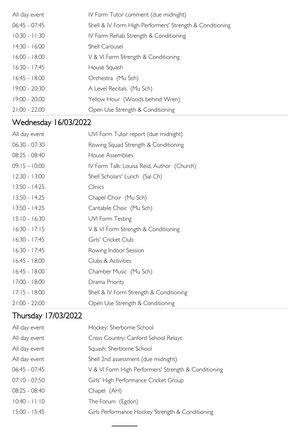| All day event   | IV Form Tutor comment (due midnight)                     |
|-----------------|----------------------------------------------------------|
| $06:45 - 07:45$ | Shell & IV Form High Performers' Strength & Conditioning |
| $10:30 - 11:30$ | IV Form Rehab Strength & Conditioning                    |
| $14:30 - 16:00$ | Shell Carousel                                           |
| $16:00 - 18:00$ | V & VI Form Strength & Conditioning                      |
| $16:30 - 17:45$ | House Squash                                             |
| $16:45 - 18:00$ | Orchestra (Mu Sch)                                       |
| $19:00 - 20:30$ | A Level Recitals (Mu Sch)                                |
| $19:00 - 20:00$ | Yellow Hour (Woods behind Wren)                          |
| $21:00 - 22:00$ | Open Use Strength & Conditioning                         |

# Wednesday 16/03/2022

| All day event   | UVI Form Tutor report (due midnight)       |
|-----------------|--------------------------------------------|
| $06:30 - 07:30$ | Rowing Squad Strength & Conditioning       |
| 08:25 - 08:40   | House Assemblies                           |
| $09:15 - 10:00$ | IV Form Talk: Louisa Reid, Author (Church) |
| $12:30 - 13:00$ | Shell Scholars' Lunch (Sal Ch)             |
| $13:50 - 14:25$ | Clinics                                    |
| $13:50 - 14:25$ | Chapel Choir (Mu Sch)                      |
| $13:50 - 14:25$ | Cantabile Choir (Mu Sch)                   |
| $15:10 - 16:30$ | UVI Form Testing                           |
| $16:30 - 17:15$ | V & VI Form Strength & Conditioning        |
| $16:30 - 17:45$ | Girls' Cricket Club                        |
| $16:30 - 17:45$ | Rowing Indoor Session                      |
| $16:45 - 18:00$ | Clubs & Activities                         |
| $16:45 - 18:00$ | Chamber Music (Mu Sch)                     |
| $17:00 - 18:00$ | Drama Priority                             |
| $17:15 - 18:00$ | Shell & IV Form Strength & Conditioning    |
| $21:00 - 22:00$ | Open Use Strength & Conditioning           |

## Thursday 17/03/2022

| All day event   | Hockey: Sherborne School                             |
|-----------------|------------------------------------------------------|
| All day event   | Cross Country: Canford School Relays                 |
| All day event   | Squash: Sherborne School                             |
| All day event   | Shell 2nd assessment (due midnight)                  |
| $06:45 - 07:45$ | V & VI Form High Performers' Strength & Conditioning |
| $07:10 - 07:50$ | Girls' High Performance Cricket Group                |
| $08:25 - 08:40$ | Chapel (AH)                                          |
| $10:40 - 11:10$ | The Forum (Egdon)                                    |
| $15:00 - 15:45$ | Girls Performance Hockey Strength & Conditioning     |
|                 |                                                      |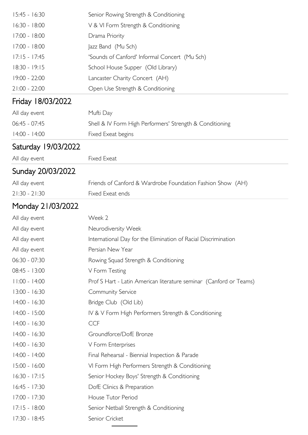| 15:45 - 16:30       | Senior Rowing Strength & Conditioning                              |
|---------------------|--------------------------------------------------------------------|
| 16:30 - 18:00       | V & VI Form Strength & Conditioning                                |
| 17:00 - 18:00       | Drama Priority                                                     |
| 17:00 - 18:00       | Jazz Band (Mu Sch)                                                 |
| $17:15 - 17:45$     | 'Sounds of Canford' Informal Concert (Mu Sch)                      |
| 18:30 - 19:15       | School House Supper (Old Library)                                  |
| 19:00 - 22:00       | Lancaster Charity Concert (AH)                                     |
| $21:00 - 22:00$     | Open Use Strength & Conditioning                                   |
| Friday 18/03/2022   |                                                                    |
| All day event       | Mufti Day                                                          |
| 06:45 - 07:45       | Shell & IV Form High Performers' Strength & Conditioning           |
| 14:00 - 14:00       | Fixed Exeat begins                                                 |
| Saturday 19/03/2022 |                                                                    |
| All day event       | Fixed Exeat                                                        |
| Sunday 20/03/2022   |                                                                    |
| All day event       | Friends of Canford & Wardrobe Foundation Fashion Show (AH)         |
| $21:30 - 21:30$     | Fixed Exeat ends                                                   |
| Monday 21/03/2022   |                                                                    |
| All day event       | Week 2                                                             |
| All day event       | Neurodiversity Week                                                |
| All day event       | International Day for the Elimination of Racial Discrimination     |
| All day event       | Persian New Year                                                   |
| $06:30 - 07:30$     | Rowing Squad Strength & Conditioning                               |
| 08:45 - 13:00       | V Form Testing                                                     |
| $11:00 - 14:00$     | Prof S Hart - Latin American literature seminar (Canford or Teams) |
| 13:00 - 16:30       | Community Service                                                  |
| 14:00 - 16:30       | Bridge Club (Old Lib)                                              |
| 14:00 - 15:00       | IV & V Form High Performers Strength & Conditioning                |
| 14:00 - 16:30       | <b>CCF</b>                                                         |
| 14:00 - 16:30       | Groundforce/DofE Bronze                                            |
| 14:00 - 16:30       | V Form Enterprises                                                 |
| 14:00 - 14:00       | Final Rehearsal - Biennial Inspection & Parade                     |
| 15:00 - 16:00       | VI Form High Performers Strength & Conditioning                    |
| $16:30 - 17:15$     | Senior Hockey Boys' Strength & Conditioning                        |
| $16:45 - 17:30$     | DofE Clinics & Preparation                                         |
| 17:00 - 17:30       | House Tutor Period                                                 |
| $17:15 - 18:00$     | Senior Netball Strength & Conditioning                             |
| 17:30 - 18:45       | Senior Cricket                                                     |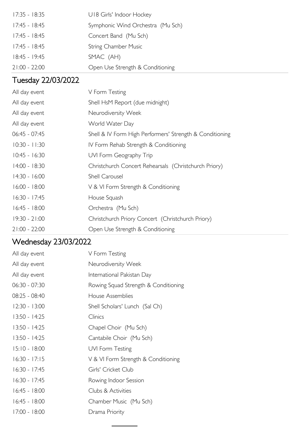| $17:35 - 18:35$ | U18 Girls' Indoor Hockey          |
|-----------------|-----------------------------------|
| $17:45 - 18:45$ | Symphonic Wind Orchestra (Mu Sch) |
| 17:45 - 18:45   | Concert Band (Mu Sch)             |
| 17:45 - 18:45   | <b>String Chamber Music</b>       |
| $18:45 - 19:45$ | SMAC (AH)                         |
| $21:00 - 22:00$ | Open Use Strength & Conditioning  |

## Tuesday 22/03/2022

| All day event   | V Form Testing                                           |
|-----------------|----------------------------------------------------------|
| All day event   | Shell HsM Report (due midnight)                          |
| All day event   | Neurodiversity Week                                      |
| All day event   | World Water Day                                          |
| $06:45 - 07:45$ | Shell & IV Form High Performers' Strength & Conditioning |
| $10:30 - 11:30$ | IV Form Rehab Strength & Conditioning                    |
| $10:45 - 16:30$ | UVI Form Geography Trip                                  |
| $14:00 - 18:30$ | Christchurch Concert Rehearsals (Christchurch Priory)    |
| $14:30 - 16:00$ | Shell Carousel                                           |
| $16:00 - 18:00$ | V & VI Form Strength & Conditioning                      |
| $16:30 - 17:45$ | House Squash                                             |
| $16:45 - 18:00$ | Orchestra (Mu Sch)                                       |
| $19:30 - 21:00$ | Christchurch Priory Concert (Christchurch Priory)        |
| $21:00 - 22:00$ | Open Use Strength & Conditioning                         |

# Wednesday 23/03/2022

| All day event   | V Form Testing                       |
|-----------------|--------------------------------------|
| All day event   | Neurodiversity Week                  |
| All day event   | International Pakistan Day           |
| $06:30 - 07:30$ | Rowing Squad Strength & Conditioning |
| 08:25 - 08:40   | House Assemblies                     |
| $12:30 - 13:00$ | Shell Scholars' Lunch (Sal Ch)       |
| $13:50 - 14:25$ | Clinics                              |
| $13:50 - 14:25$ | Chapel Choir (Mu Sch)                |
| $13:50 - 14:25$ | Cantabile Choir (Mu Sch)             |
| $15:10 - 18:00$ | UVI Form Testing                     |
| $16:30 - 17:15$ | V & VI Form Strength & Conditioning  |
| $16:30 - 17:45$ | Girls' Cricket Club                  |
| 16:30 - 17:45   | Rowing Indoor Session                |
| $16:45 - 18:00$ | Clubs & Activities                   |
| $16:45 - 18:00$ | Chamber Music (Mu Sch)               |
| $17:00 - 18:00$ | Drama Priority                       |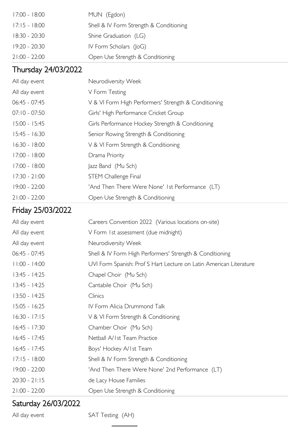| $17:00 - 18:00$ | MUN (Egdon)                             |
|-----------------|-----------------------------------------|
| $17:15 - 18:00$ | Shell & IV Form Strength & Conditioning |
| $18:30 - 20:30$ | Shine Graduation (LG)                   |
| 19:20 - 20:30   | IV Form Scholars $(I \circ G)$          |
| $21:00 - 22:00$ | Open Use Strength & Conditioning        |

#### Thursday 24/03/2022

| All day event   | Neurodiversity Week                                  |
|-----------------|------------------------------------------------------|
| All day event   | V Form Testing                                       |
| $06:45 - 07:45$ | V & VI Form High Performers' Strength & Conditioning |
| $07:10 - 07:50$ | Girls' High Performance Cricket Group                |
| $15:00 - 15:45$ | Girls Performance Hockey Strength & Conditioning     |
| $15:45 - 16:30$ | Senior Rowing Strength & Conditioning                |
| $16:30 - 18:00$ | V & VI Form Strength & Conditioning                  |
| $17:00 - 18:00$ | Drama Priority                                       |
| $17:00 - 18:00$ | Jazz Band (Mu Sch)                                   |
| $17:30 - 21:00$ | <b>STEM Challenge Final</b>                          |
| $19:00 - 22:00$ | 'And Then There Were None' 1st Performance (LT)      |
| $21:00 - 22:00$ | Open Use Strength & Conditioning                     |

#### Friday 25/03/2022

| All day event   | Careers Convention 2022 (Various locations on-site)                |
|-----------------|--------------------------------------------------------------------|
| All day event   | V Form 1st assessment (due midnight)                               |
| All day event   | Neurodiversity Week                                                |
| $06:45 - 07:45$ | Shell & IV Form High Performers' Strength & Conditioning           |
| $11:00 - 14:00$ | UVI Form Spanish: Prof S Hart Lecture on Latin American Literature |
| $13:45 - 14:25$ | Chapel Choir (Mu Sch)                                              |
| $13:45 - 14:25$ | Cantabile Choir (Mu Sch)                                           |
| $13:50 - 14:25$ | Clinics                                                            |
| $15:05 - 16:25$ | IV Form Alicia Drummond Talk                                       |
| $16:30 - 17:15$ | V & VI Form Strength & Conditioning                                |
| $16:45 - 17:30$ | Chamber Choir (Mu Sch)                                             |
| $16:45 - 17:45$ | Netball A/1st Team Practice                                        |
| $16:45 - 17:45$ | Boys' Hockey A/Ist Team                                            |
| $17:15 - 18:00$ | Shell & IV Form Strength & Conditioning                            |
| 19:00 - 22:00   | 'And Then There Were None' 2nd Performance (LT)                    |
| $20:30 - 21:15$ | de Lacy House Families                                             |
| $21:00 - 22:00$ | Open Use Strength & Conditioning                                   |

## Saturday 26/03/2022

All day event SAT Testing (AH)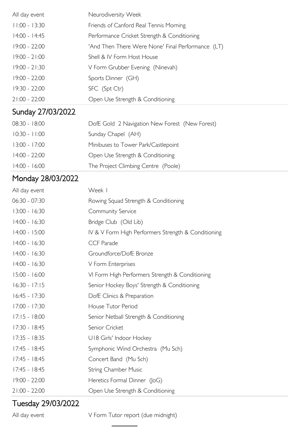| All day event     | Neurodiversity Week                               |
|-------------------|---------------------------------------------------|
| $11:00 - 13:30$   | Friends of Canford Real Tennis Morning            |
| 14:00 - 14:45     | Performance Cricket Strength & Conditioning       |
| 19:00 - 22:00     | 'And Then There Were None' Final Performance (LT) |
| $19:00 - 21:00$   | Shell & IV Form Host House                        |
| $19:00 - 21:30$   | V Form Grubber Evening (Ninevah)                  |
| $19:00 - 22:00$   | Sports Dinner (GH)                                |
| 19:30 - 22:00     | SFC (Spt Ctr)                                     |
| $21:00 - 22:00$   | Open Use Strength & Conditioning                  |
| Sunday 27/03/2022 |                                                   |
| $08:30 - 18:00$   | DofE Gold 2 Navigation New Forest (New Forest)    |
| $10:30 - 11:00$   | Sunday Chapel (AH)                                |
| $13:00 - 17:00$   | Minibuses to Tower Park/Castlepoint               |
| $14:00 - 22:00$   | Open Use Strength & Conditioning                  |
| $14:00 - 16:00$   | The Project Climbing Centre (Poole)               |
| Monday 28/03/2022 |                                                   |

#### All day event Week I 06:30 - 07:30 Rowing Squad Strength & Conditioning 13:00 - 16:30 Community Service 14:00 - 16:30 Bridge Club (Old Lib) 14:00 - 15:00 IV & V Form High Performers Strength & Conditioning 14:00 - 16:30 CCF Parade 14:00 - 16:30 Groundforce/DofE Bronze 14:00 - 16:30 V Form Enterprises 15:00 - 16:00 VI Form High Performers Strength & Conditioning 16:30 - 17:15 Senior Hockey Boys' Strength & Conditioning 16:45 - 17:30 DofE Clinics & Preparation 17:00 - 17:30 House Tutor Period 17:15 - 18:00 Senior Netball Strength & Conditioning 17:30 - 18:45 Senior Cricket 17:35 - 18:35 U18 Girls' Indoor Hockey 17:45 - 18:45 Symphonic Wind Orchestra (Mu Sch) 17:45 - 18:45 Concert Band (Mu Sch) 17:45 - 18:45 String Chamber Music 19:00 - 22:00 Heretics Formal Dinner (JoG) 21:00 - 22:00 Open Use Strength & Conditioning

#### Tuesday 29/03/2022

All day event V Form Tutor report (due midnight)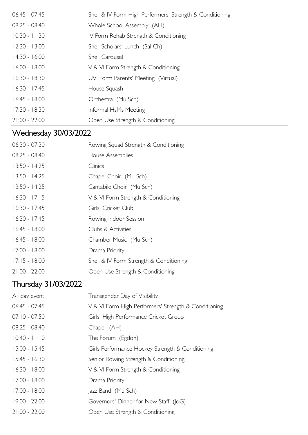| $06:45 - 07:45$ | Shell & IV Form High Performers' Strength & Conditioning |
|-----------------|----------------------------------------------------------|
| 08:25 - 08:40   | Whole School Assembly (AH)                               |
| $10:30 - 11:30$ | IV Form Rehab Strength & Conditioning                    |
| $12:30 - 13:00$ | Shell Scholars' Lunch (Sal Ch)                           |
| $14:30 - 16:00$ | <b>Shell Carousel</b>                                    |
| $16:00 - 18:00$ | V & VI Form Strength & Conditioning                      |
| $16:30 - 18:30$ | UVI Form Parents' Meeting (Virtual)                      |
| $16:30 - 17:45$ | House Squash                                             |
| $16:45 - 18:00$ | Orchestra (Mu Sch)                                       |
| $17:30 - 18:30$ | Informal HsMs Meeting                                    |
| $21:00 - 22:00$ | Open Use Strength & Conditioning                         |

# Wednesday 30/03/2022

| $06:30 - 07:30$ | Rowing Squad Strength & Conditioning    |
|-----------------|-----------------------------------------|
| $08:25 - 08:40$ | House Assemblies                        |
| $13:50 - 14:25$ | Clinics                                 |
| $13:50 - 14:25$ | Chapel Choir (Mu Sch)                   |
| $13:50 - 14:25$ | Cantabile Choir (Mu Sch)                |
| $16:30 - 17:15$ | V & VI Form Strength & Conditioning     |
| $16:30 - 17:45$ | Girls' Cricket Club                     |
| $16:30 - 17:45$ | Rowing Indoor Session                   |
| $16:45 - 18:00$ | Clubs & Activities                      |
| $16:45 - 18:00$ | Chamber Music (Mu Sch)                  |
| $17:00 - 18:00$ | Drama Priority                          |
| $17:15 - 18:00$ | Shell & IV Form Strength & Conditioning |
| $21:00 - 22:00$ | Open Use Strength & Conditioning        |

# Thursday 31/03/2022

| Transgender Day of Visibility                        |
|------------------------------------------------------|
| V & VI Form High Performers' Strength & Conditioning |
| Girls' High Performance Cricket Group                |
| Chapel (AH)                                          |
| The Forum (Egdon)                                    |
| Girls Performance Hockey Strength & Conditioning     |
| Senior Rowing Strength & Conditioning                |
| V & VI Form Strength & Conditioning                  |
| Drama Priority                                       |
| Jazz Band (Mu Sch)                                   |
| Governors' Dinner for New Staff (JoG)                |
| Open Use Strength & Conditioning                     |
|                                                      |